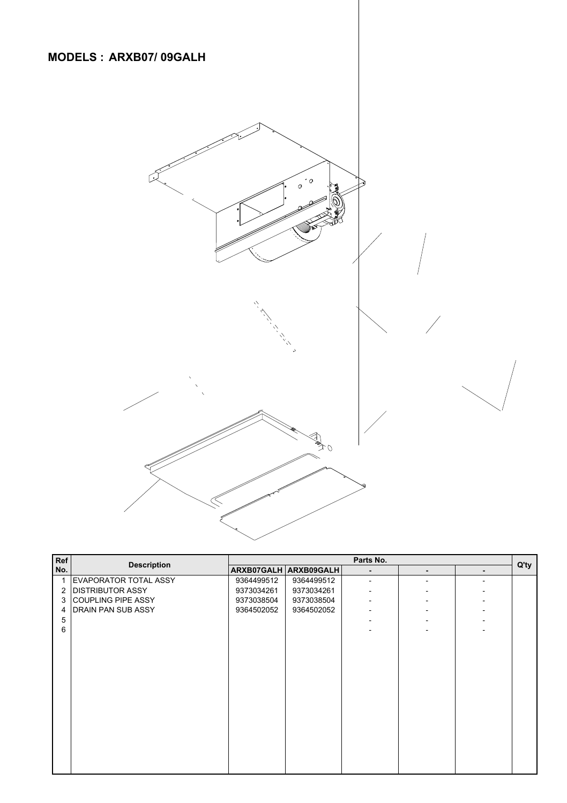

| Ref | <b>Description</b>      | Parts No.  |                       |                          |                |                          |      |
|-----|-------------------------|------------|-----------------------|--------------------------|----------------|--------------------------|------|
| No. |                         |            | ARXB07GALH ARXB09GALH |                          | $\blacksquare$ | $\overline{\phantom{0}}$ | Q'ty |
|     | EVAPORATOR TOTAL ASSY   | 9364499512 | 9364499512            | ٠                        |                |                          |      |
| 2   | <b>DISTRIBUTOR ASSY</b> | 9373034261 | 9373034261            | ٠                        |                |                          |      |
| 3   | COUPLING PIPE ASSY      | 9373038504 | 9373038504            |                          |                |                          |      |
| 4   | DRAIN PAN SUB ASSY      | 9364502052 | 9364502052            | ٠                        |                |                          |      |
| 5   |                         |            |                       | $\overline{\phantom{0}}$ |                |                          |      |
| 6   |                         |            |                       |                          |                |                          |      |
|     |                         |            |                       |                          |                |                          |      |
|     |                         |            |                       |                          |                |                          |      |
|     |                         |            |                       |                          |                |                          |      |
|     |                         |            |                       |                          |                |                          |      |
|     |                         |            |                       |                          |                |                          |      |
|     |                         |            |                       |                          |                |                          |      |
|     |                         |            |                       |                          |                |                          |      |
|     |                         |            |                       |                          |                |                          |      |
|     |                         |            |                       |                          |                |                          |      |
|     |                         |            |                       |                          |                |                          |      |
|     |                         |            |                       |                          |                |                          |      |
|     |                         |            |                       |                          |                |                          |      |
|     |                         |            |                       |                          |                |                          |      |
|     |                         |            |                       |                          |                |                          |      |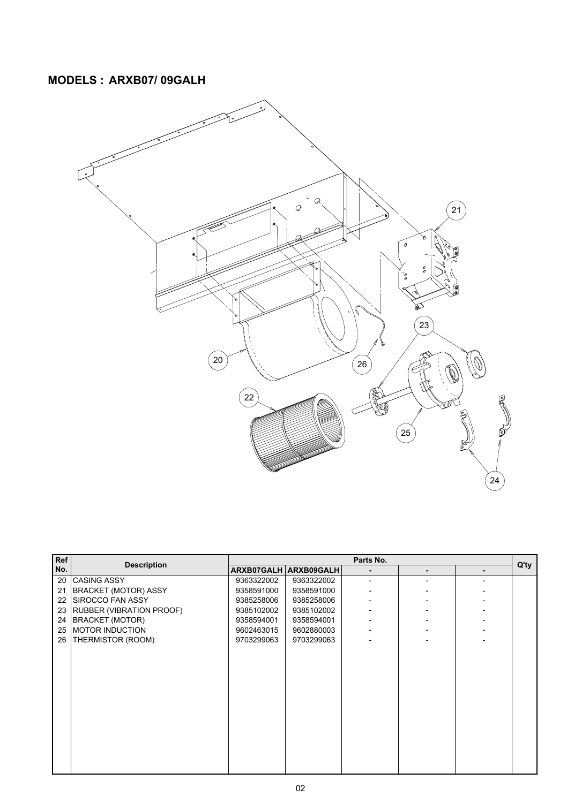## **MODELS : ARXB07/ 09GALH**



|     | <b>Description</b>              |            |                       |           |  |  |         |
|-----|---------------------------------|------------|-----------------------|-----------|--|--|---------|
| Ref |                                 |            |                       | Parts No. |  |  | $Q'$ ty |
| No. |                                 |            | ARXB07GALH ARXB09GALH | ٠         |  |  |         |
| 20  | <b>CASING ASSY</b>              | 9363322002 | 9363322002            |           |  |  |         |
| 21  | BRACKET (MOTOR) ASSY            | 9358591000 | 9358591000            |           |  |  |         |
| 22  | SIROCCO FAN ASSY                | 9385258006 | 9385258006            |           |  |  |         |
| 23  | <b>RUBBER (VIBRATION PROOF)</b> | 9385102002 | 9385102002            |           |  |  |         |
| 24  | BRACKET (MOTOR)                 | 9358594001 | 9358594001            |           |  |  |         |
| 25  | <b>MOTOR INDUCTION</b>          | 9602463015 | 9602880003            |           |  |  |         |
|     | 26   THERMISTOR (ROOM)          | 9703299063 | 9703299063            |           |  |  |         |
|     |                                 |            |                       |           |  |  |         |
|     |                                 |            |                       |           |  |  |         |
|     |                                 |            |                       |           |  |  |         |
|     |                                 |            |                       |           |  |  |         |
|     |                                 |            |                       |           |  |  |         |
|     |                                 |            |                       |           |  |  |         |
|     |                                 |            |                       |           |  |  |         |
|     |                                 |            |                       |           |  |  |         |
|     |                                 |            |                       |           |  |  |         |
|     |                                 |            |                       |           |  |  |         |
|     |                                 |            |                       |           |  |  |         |
|     |                                 |            |                       |           |  |  |         |
|     |                                 |            |                       |           |  |  |         |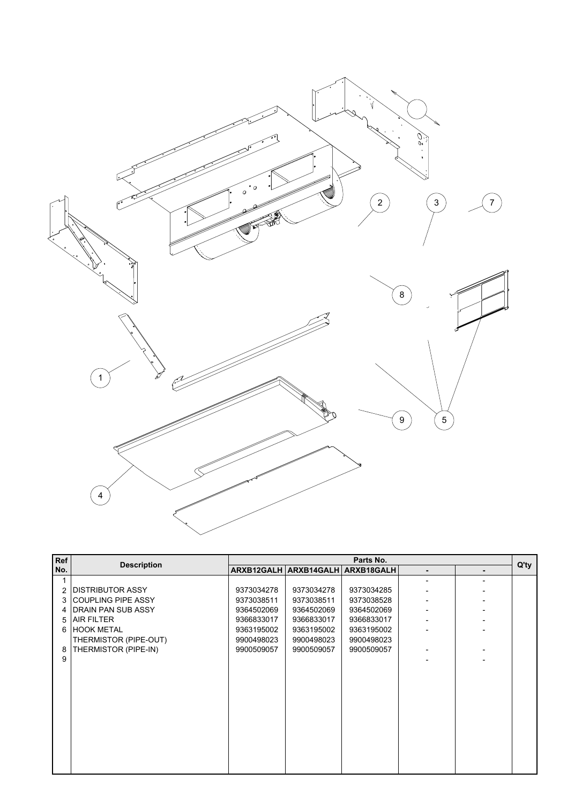

| Ref            | <b>Description</b>        |            | Parts No.                        |            |   |   |         |
|----------------|---------------------------|------------|----------------------------------|------------|---|---|---------|
| No.            |                           |            | ARXB12GALH ARXB14GALH ARXB18GALH |            | ٠ | ۰ | $Q'$ ty |
| 1              |                           |            |                                  |            |   |   |         |
| $\overline{2}$ | <b>DISTRIBUTOR ASSY</b>   | 9373034278 | 9373034278                       | 9373034285 |   |   |         |
| 3              | <b>COUPLING PIPE ASSY</b> | 9373038511 | 9373038511                       | 9373038528 |   |   |         |
| 4              | DRAIN PAN SUB ASSY        | 9364502069 | 9364502069                       | 9364502069 |   |   |         |
| 5              | <b>AIR FILTER</b>         | 9366833017 | 9366833017                       | 9366833017 |   |   |         |
| 6              | <b>HOOK METAL</b>         | 9363195002 | 9363195002                       | 9363195002 |   |   |         |
|                | THERMISTOR (PIPE-OUT)     | 9900498023 | 9900498023                       | 9900498023 |   |   |         |
| 8              | THERMISTOR (PIPE-IN)      | 9900509057 | 9900509057                       | 9900509057 |   |   |         |
| 9              |                           |            |                                  |            |   |   |         |
|                |                           |            |                                  |            |   |   |         |
|                |                           |            |                                  |            |   |   |         |
|                |                           |            |                                  |            |   |   |         |
|                |                           |            |                                  |            |   |   |         |
|                |                           |            |                                  |            |   |   |         |
|                |                           |            |                                  |            |   |   |         |
|                |                           |            |                                  |            |   |   |         |
|                |                           |            |                                  |            |   |   |         |
|                |                           |            |                                  |            |   |   |         |
|                |                           |            |                                  |            |   |   |         |
|                |                           |            |                                  |            |   |   |         |

**MARKE WARRANT OF BRUNELLING COLORATION IS A START AND CONTINUES TO A STATEMENT OF THE CASE OF A**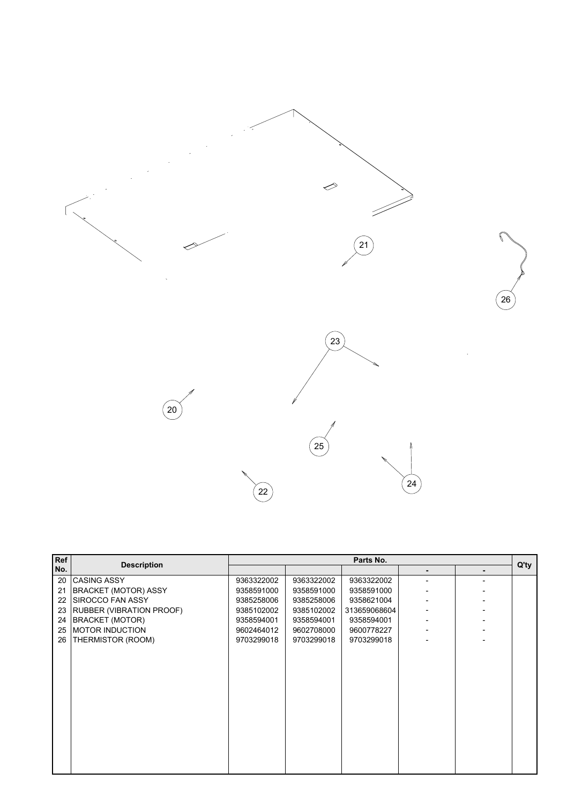

| Ref |                                 | Parts No.  |            |              |  |                |         |
|-----|---------------------------------|------------|------------|--------------|--|----------------|---------|
| No. | <b>Description</b>              |            |            |              |  |                | $Q'$ ty |
| 20  | <b>CASING ASSY</b>              | 9363322002 | 9363322002 | 9363322002   |  | $\overline{a}$ |         |
| 21  | <b>BRACKET (MOTOR) ASSY</b>     | 9358591000 | 9358591000 | 9358591000   |  |                |         |
| 22  | <b>SIROCCO FAN ASSY</b>         | 9385258006 | 9385258006 | 9358621004   |  |                |         |
| 23  | <b>RUBBER (VIBRATION PROOF)</b> | 9385102002 | 9385102002 | 313659068604 |  |                |         |
| 24  | <b>BRACKET (MOTOR)</b>          | 9358594001 | 9358594001 | 9358594001   |  |                |         |
| 25  | MOTOR INDUCTION                 | 9602464012 | 9602708000 | 9600778227   |  |                |         |
| 26  | <b>THERMISTOR (ROOM)</b>        | 9703299018 | 9703299018 | 9703299018   |  |                |         |
|     |                                 |            |            |              |  |                |         |
|     |                                 |            |            |              |  |                |         |
|     |                                 |            |            |              |  |                |         |
|     |                                 |            |            |              |  |                |         |
|     |                                 |            |            |              |  |                |         |
|     |                                 |            |            |              |  |                |         |
|     |                                 |            |            |              |  |                |         |
|     |                                 |            |            |              |  |                |         |
|     |                                 |            |            |              |  |                |         |
|     |                                 |            |            |              |  |                |         |
|     |                                 |            |            |              |  |                |         |
|     |                                 |            |            |              |  |                |         |
|     |                                 |            |            |              |  |                |         |